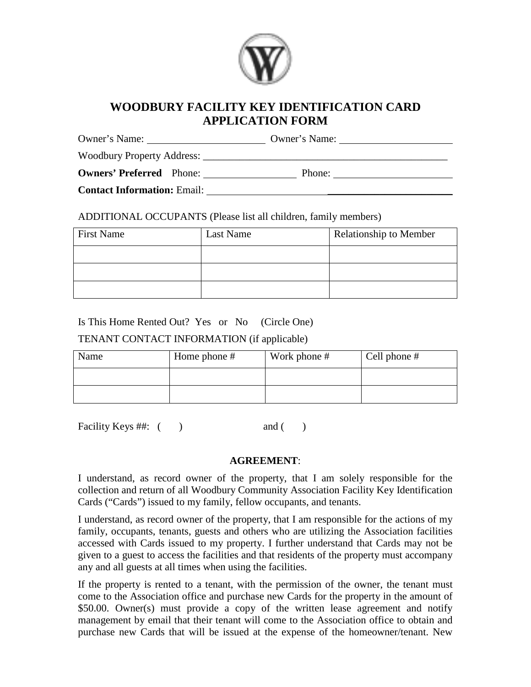

## **WOODBURY FACILITY KEY IDENTIFICATION CARD APPLICATION FORM**

| Owner's Name:                      | Owner's Name: |
|------------------------------------|---------------|
| Woodbury Property Address: ___     |               |
| <b>Owners' Preferred</b> Phone:    | Phone:        |
| <b>Contact Information: Email:</b> |               |

#### ADDITIONAL OCCUPANTS (Please list all children, family members)

| <b>First Name</b> | Last Name | <b>Relationship to Member</b> |
|-------------------|-----------|-------------------------------|
|                   |           |                               |
|                   |           |                               |
|                   |           |                               |

### Is This Home Rented Out? Yes or No (Circle One)

#### TENANT CONTACT INFORMATION (if applicable)

| Name | Home phone # | Work phone # | Cell phone $#$ |
|------|--------------|--------------|----------------|
|      |              |              |                |
|      |              |              |                |

Facility Keys ##: ( ) and ( )

#### **AGREEMENT**:

I understand, as record owner of the property, that I am solely responsible for the collection and return of all Woodbury Community Association Facility Key Identification Cards ("Cards") issued to my family, fellow occupants, and tenants.

I understand, as record owner of the property, that I am responsible for the actions of my family, occupants, tenants, guests and others who are utilizing the Association facilities accessed with Cards issued to my property. I further understand that Cards may not be given to a guest to access the facilities and that residents of the property must accompany any and all guests at all times when using the facilities.

If the property is rented to a tenant, with the permission of the owner, the tenant must come to the Association office and purchase new Cards for the property in the amount of \$50.00. Owner(s) must provide a copy of the written lease agreement and notify management by email that their tenant will come to the Association office to obtain and purchase new Cards that will be issued at the expense of the homeowner/tenant. New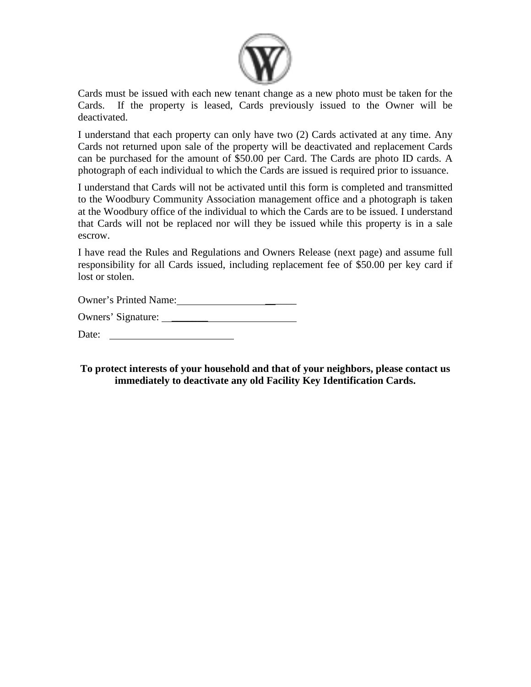

Cards must be issued with each new tenant change as a new photo must be taken for the Cards. If the property is leased, Cards previously issued to the Owner will be deactivated.

I understand that each property can only have two (2) Cards activated at any time. Any Cards not returned upon sale of the property will be deactivated and replacement Cards can be purchased for the amount of \$50.00 per Card. The Cards are photo ID cards. A photograph of each individual to which the Cards are issued is required prior to issuance.

I understand that Cards will not be activated until this form is completed and transmitted to the Woodbury Community Association management office and a photograph is taken at the Woodbury office of the individual to which the Cards are to be issued. I understand that Cards will not be replaced nor will they be issued while this property is in a sale escrow.

I have read the Rules and Regulations and Owners Release (next page) and assume full responsibility for all Cards issued, including replacement fee of \$50.00 per key card if lost or stolen.

Owner's Printed Name: \_\_\_\_\_\_

Owners' Signature:

Date:

**To protect interests of your household and that of your neighbors, please contact us immediately to deactivate any old Facility Key Identification Cards.**